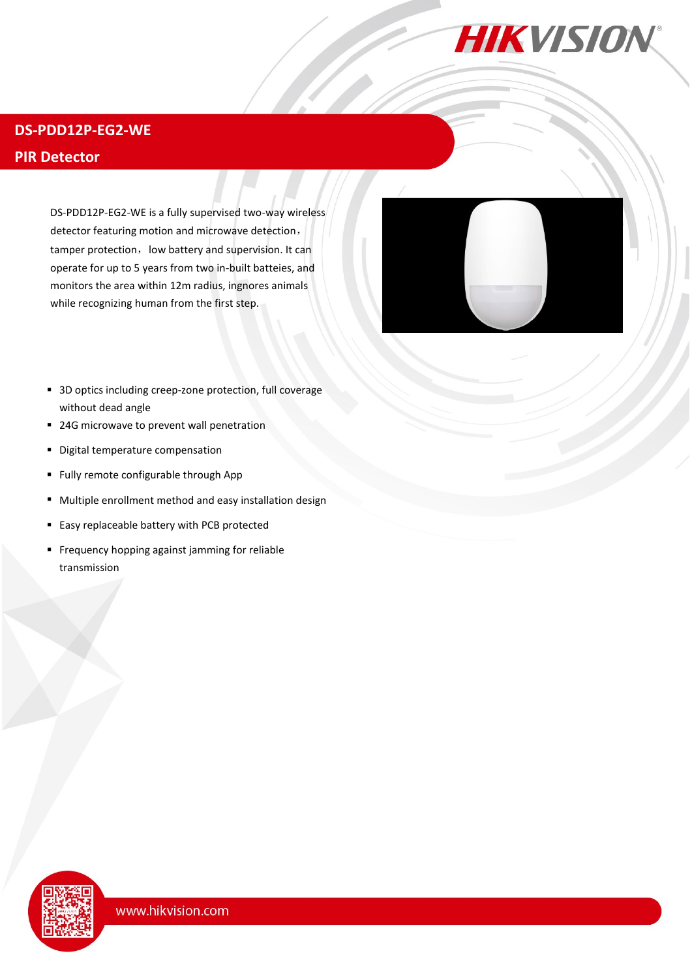

# **DS-PDD12P-EG2-WE**

## **PIR Detector**

DS-PDD12P-EG2-WE is a fully supervised two-way wireless detector featuring motion and microwave detection, tamper protection, low battery and supervision. It can operate for up to 5 years from two in-built batteies, and monitors the area within 12m radius, ingnores animals while recognizing human from the first step.



- 3D optics including creep-zone protection, full coverage without dead angle
- 24G microwave to prevent wall penetration
- **•** Digital temperature compensation
- Fully remote configurable through App
- Multiple enrollment method and easy installation design
- Easy replaceable battery with PCB protected
- Frequency hopping against jamming for reliable transmission

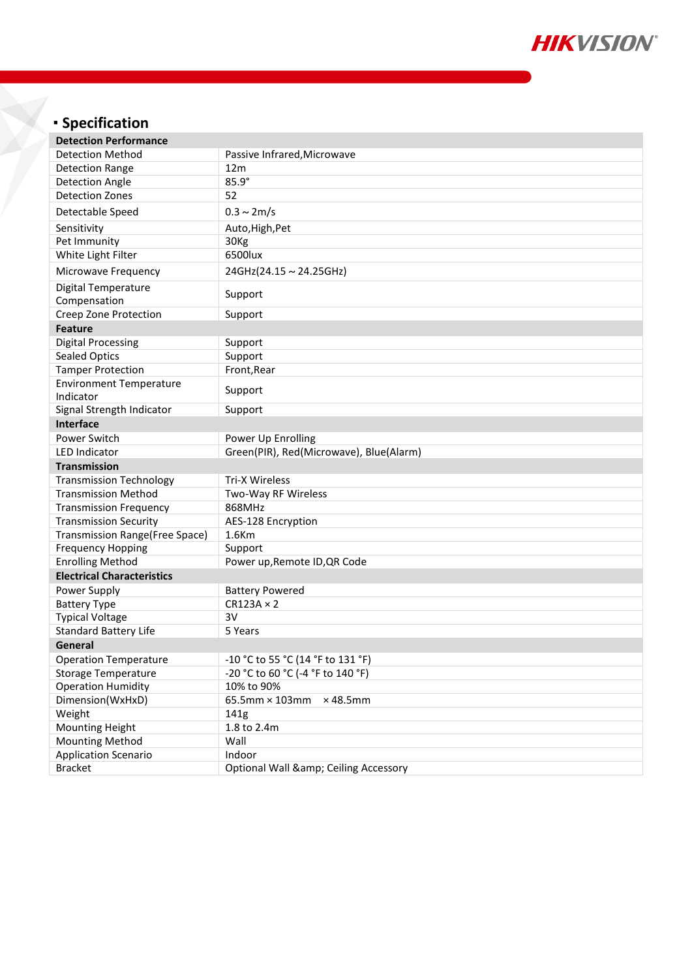

# **Specification**

| <b>Detection Performance</b>                  |                                             |
|-----------------------------------------------|---------------------------------------------|
| <b>Detection Method</b>                       | Passive Infrared, Microwave                 |
| <b>Detection Range</b>                        | 12 <sub>m</sub>                             |
| <b>Detection Angle</b>                        | 85.9°                                       |
| <b>Detection Zones</b>                        | 52                                          |
| Detectable Speed                              | $0.3 \sim 2 m/s$                            |
| Sensitivity                                   | Auto, High, Pet                             |
| Pet Immunity                                  | 30Kg                                        |
| White Light Filter                            | 6500lux                                     |
| Microwave Frequency                           | 24GHz(24.15~24.25GHz)                       |
| <b>Digital Temperature</b><br>Compensation    | Support                                     |
| Creep Zone Protection                         | Support                                     |
| <b>Feature</b>                                |                                             |
| <b>Digital Processing</b>                     | Support                                     |
| Sealed Optics                                 | Support                                     |
| <b>Tamper Protection</b>                      | Front, Rear                                 |
| <b>Environment Temperature</b><br>Indicator   | Support                                     |
| Signal Strength Indicator                     | Support                                     |
| <b>Interface</b>                              |                                             |
|                                               |                                             |
| Power Switch                                  | Power Up Enrolling                          |
| <b>LED Indicator</b>                          | Green(PIR), Red(Microwave), Blue(Alarm)     |
|                                               |                                             |
| <b>Transmission</b>                           |                                             |
| <b>Transmission Technology</b>                | <b>Tri-X Wireless</b>                       |
| <b>Transmission Method</b>                    | Two-Way RF Wireless                         |
| <b>Transmission Frequency</b>                 | 868MHz                                      |
| <b>Transmission Security</b>                  | AES-128 Encryption                          |
| <b>Transmission Range(Free Space)</b>         | 1.6Km                                       |
| <b>Frequency Hopping</b>                      | Support                                     |
| <b>Enrolling Method</b>                       | Power up, Remote ID, QR Code                |
| <b>Electrical Characteristics</b>             |                                             |
| Power Supply                                  | <b>Battery Powered</b>                      |
| <b>Battery Type</b>                           | $CR123A \times 2$                           |
| <b>Typical Voltage</b>                        | 3V                                          |
| <b>Standard Battery Life</b>                  | 5 Years                                     |
| General                                       |                                             |
| <b>Operation Temperature</b>                  | -10 °C to 55 °C (14 °F to 131 °F)           |
| <b>Storage Temperature</b>                    | -20 °C to 60 °C (-4 °F to 140 °F)           |
| <b>Operation Humidity</b>                     | 10% to 90%                                  |
| Dimension(WxHxD)                              | 65.5mm × 103mm<br>$\times$ 48.5mm           |
| Weight                                        | 141g                                        |
| <b>Mounting Height</b>                        | 1.8 to 2.4m                                 |
| <b>Mounting Method</b>                        | Wall                                        |
| <b>Application Scenario</b><br><b>Bracket</b> | Indoor<br>Optional Wall & Ceiling Accessory |